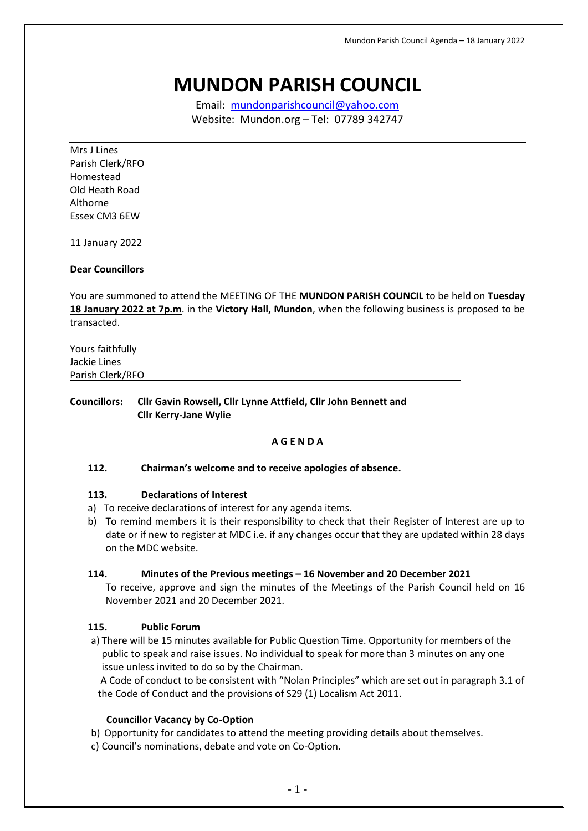# **MUNDON PARISH COUNCIL**

Email: [mundonparishcouncil@yahoo.com](mailto:mundonparishcouncil@yahoo.com) Website: Mundon.org – Tel: 07789 342747

Mrs J Lines Parish Clerk/RFO Homestead Old Heath Road Althorne Essex CM3 6EW

11 January 2022

## **Dear Councillors**

You are summoned to attend the MEETING OF THE **MUNDON PARISH COUNCIL** to be held on **Tuesday 18 January 2022 at 7p.m**. in the **Victory Hall, Mundon**, when the following business is proposed to be transacted.

| Yours faithfully |  |
|------------------|--|
| Jackie Lines     |  |
| Parish Clerk/RFO |  |

**Councillors: Cllr Gavin Rowsell, Cllr Lynne Attfield, Cllr John Bennett and Cllr Kerry-Jane Wylie**

#### **A G E N D A**

#### **112. Chairman's welcome and to receive apologies of absence.**

#### **113. Declarations of Interest**

- a) To receive declarations of interest for any agenda items.
- b) To remind members it is their responsibility to check that their Register of Interest are up to date or if new to register at MDC i.e. if any changes occur that they are updated within 28 days on the MDC website.

#### **114. Minutes of the Previous meetings – 16 November and 20 December 2021**

To receive, approve and sign the minutes of the Meetings of the Parish Council held on 16 November 2021 and 20 December 2021.

#### **115. Public Forum**

a) There will be 15 minutes available for Public Question Time. Opportunity for members of the public to speak and raise issues. No individual to speak for more than 3 minutes on any one issue unless invited to do so by the Chairman.

A Code of conduct to be consistent with "Nolan Principles" which are set out in paragraph 3.1 of the Code of Conduct and the provisions of S29 (1) Localism Act 2011.

#### **Councillor Vacancy by Co-Option**

- b) Opportunity for candidates to attend the meeting providing details about themselves.
- c) Council's nominations, debate and vote on Co-Option.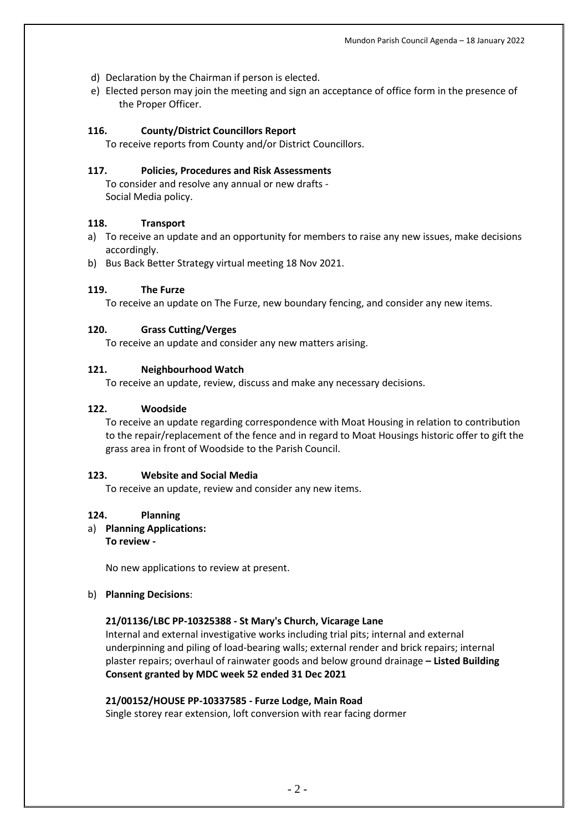- d) Declaration by the Chairman if person is elected.
- e) Elected person may join the meeting and sign an acceptance of office form in the presence of the Proper Officer.

# **116. County/District Councillors Report**

To receive reports from County and/or District Councillors.

# **117. Policies, Procedures and Risk Assessments**

To consider and resolve any annual or new drafts - Social Media policy.

# **118. Transport**

- a) To receive an update and an opportunity for members to raise any new issues, make decisions accordingly.
- b) Bus Back Better Strategy virtual meeting 18 Nov 2021.

# **119. The Furze**

To receive an update on The Furze, new boundary fencing, and consider any new items.

# **120. Grass Cutting/Verges**

To receive an update and consider any new matters arising.

# **121. Neighbourhood Watch**

To receive an update, review, discuss and make any necessary decisions.

#### **122. Woodside**

To receive an update regarding correspondence with Moat Housing in relation to contribution to the repair/replacement of the fence and in regard to Moat Housings historic offer to gift the grass area in front of Woodside to the Parish Council.

# **123. Website and Social Media**

To receive an update, review and consider any new items.

# **124. Planning**

a) **Planning Applications: To review -**

No new applications to review at present.

# b) **Planning Decisions**:

# **21/01136/LBC PP-10325388 - St Mary's Church, Vicarage Lane**

Internal and external investigative works including trial pits; internal and external underpinning and piling of load-bearing walls; external render and brick repairs; internal plaster repairs; overhaul of rainwater goods and below ground drainage **– Listed Building Consent granted by MDC week 52 ended 31 Dec 2021**

# **21/00152/HOUSE PP-10337585 - Furze Lodge, Main Road**

Single storey rear extension, loft conversion with rear facing dormer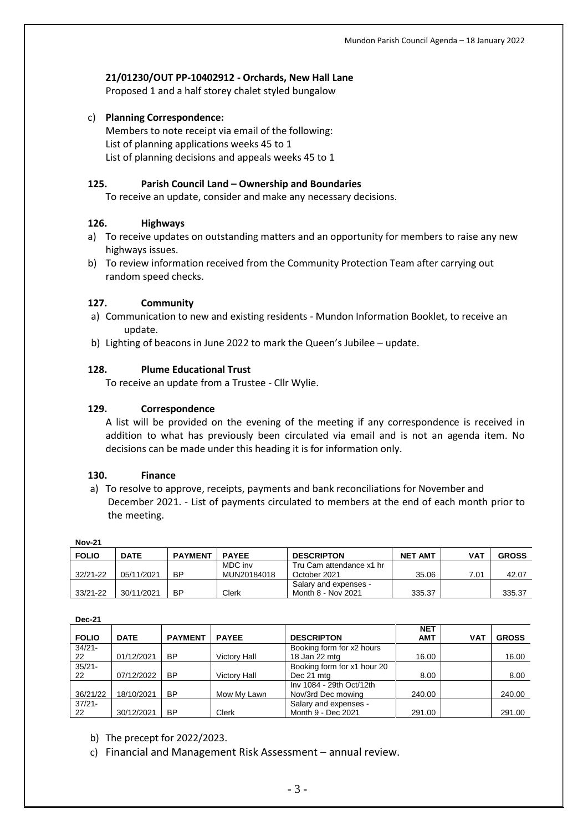#### **21/01230/OUT PP-10402912 - Orchards, New Hall Lane**

Proposed 1 and a half storey chalet styled bungalow

c) **Planning Correspondence:**

Members to note receipt via email of the following: List of planning applications weeks 45 to 1 List of planning decisions and appeals weeks 45 to 1

#### **125. Parish Council Land – Ownership and Boundaries**

To receive an update, consider and make any necessary decisions.

#### **126. Highways**

- a) To receive updates on outstanding matters and an opportunity for members to raise any new highways issues.
- b) To review information received from the Community Protection Team after carrying out random speed checks.

#### **127. Community**

- a) Communication to new and existing residents Mundon Information Booklet, to receive an update.
- b) Lighting of beacons in June 2022 to mark the Queen's Jubilee update.

#### **128. Plume Educational Trust**

To receive an update from a Trustee - Cllr Wylie.

#### **129. Correspondence**

A list will be provided on the evening of the meeting if any correspondence is received in addition to what has previously been circulated via email and is not an agenda item. No decisions can be made under this heading it is for information only.

#### **130. Finance**

a) To resolve to approve, receipts, payments and bank reconciliations for November and December 2021. - List of payments circulated to members at the end of each month prior to the meeting.

| NOV-Z I      |             |                |              |                          |                |      |              |  |  |  |  |
|--------------|-------------|----------------|--------------|--------------------------|----------------|------|--------------|--|--|--|--|
| <b>FOLIO</b> | <b>DATE</b> | <b>PAYMENT</b> | <b>PAYEE</b> | <b>DESCRIPTON</b>        | <b>NET AMT</b> | VAT  | <b>GROSS</b> |  |  |  |  |
|              |             |                | MDC inv      | Tru Cam attendance x1 hr |                |      |              |  |  |  |  |
| $32/21 - 22$ | 05/11/2021  | ВP             | MUN20184018  | October 2021             | 35.06          | 7.01 | 42.07        |  |  |  |  |
|              |             |                |              | Salary and expenses -    |                |      |              |  |  |  |  |
| $33/21 - 22$ | 30/11/2021  | BP             | Clerk        | Month 8 - Nov 2021       | 335.37         |      | 335.37       |  |  |  |  |

**Nov-21**

#### **Dec-21**

| <b>FOLIO</b> | <b>DATE</b> | <b>PAYMENT</b> | <b>PAYEE</b>        | <b>DESCRIPTON</b>           | <b>NET</b><br><b>AMT</b> | <b>VAT</b> | <b>GROSS</b> |
|--------------|-------------|----------------|---------------------|-----------------------------|--------------------------|------------|--------------|
| $34/21 -$    |             |                |                     | Booking form for x2 hours   |                          |            |              |
| 22           | 01/12/2021  | <b>BP</b>      | <b>Victory Hall</b> | 18 Jan 22 mtg               | 16.00                    |            | 16.00        |
| $35/21 -$    |             |                |                     | Booking form for x1 hour 20 |                          |            |              |
| 22           | 07/12/2022  | <b>BP</b>      | <b>Victory Hall</b> | Dec 21 mtg                  | 8.00                     |            | 8.00         |
|              |             |                |                     | Inv 1084 - 29th Oct/12th    |                          |            |              |
| 36/21/22     | 18/10/2021  | BP             | Mow My Lawn         | Nov/3rd Dec mowing          | 240.00                   |            | 240.00       |
| $37/21 -$    |             |                |                     | Salary and expenses -       |                          |            |              |
| 22           | 30/12/2021  | BP             | <b>Clerk</b>        | Month 9 - Dec 2021          | 291.00                   |            | 291.00       |

b) The precept for 2022/2023.

c) Financial and Management Risk Assessment – annual review.